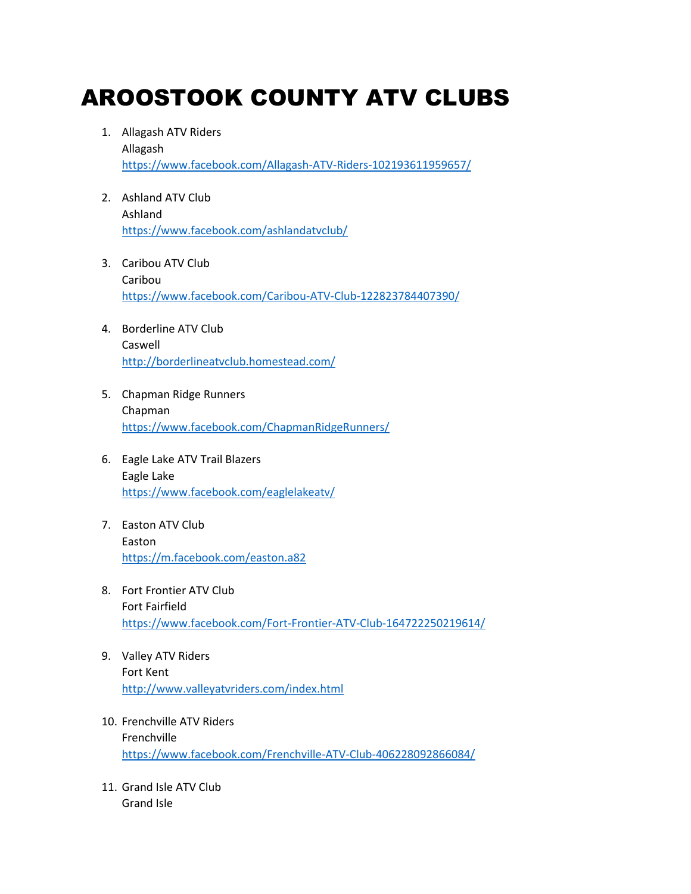## AROOSTOOK COUNTY ATV CLUBS

- 1. Allagash ATV Riders Allagash <https://www.facebook.com/Allagash-ATV-Riders-102193611959657/>
- 2. Ashland ATV Club Ashland <https://www.facebook.com/ashlandatvclub/>
- 3. Caribou ATV Club Caribou <https://www.facebook.com/Caribou-ATV-Club-122823784407390/>
- 4. Borderline ATV Club Caswell <http://borderlineatvclub.homestead.com/>
- 5. Chapman Ridge Runners Chapman <https://www.facebook.com/ChapmanRidgeRunners/>
- 6. Eagle Lake ATV Trail Blazers Eagle Lake <https://www.facebook.com/eaglelakeatv/>
- 7. Easton ATV Club Easton <https://m.facebook.com/easton.a82>
- 8. Fort Frontier ATV Club Fort Fairfield <https://www.facebook.com/Fort-Frontier-ATV-Club-164722250219614/>
- 9. Valley ATV Riders Fort Kent <http://www.valleyatvriders.com/index.html>
- 10. Frenchville ATV Riders Frenchville <https://www.facebook.com/Frenchville-ATV-Club-406228092866084/>
- 11. Grand Isle ATV Club Grand Isle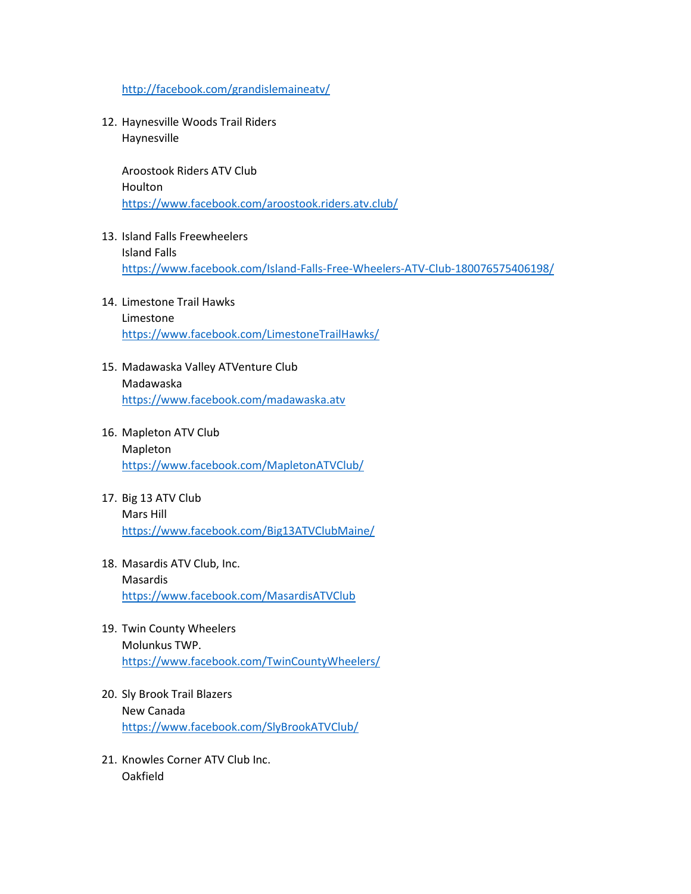<http://facebook.com/grandislemaineatv/>

12. Haynesville Woods Trail Riders Haynesville

> Aroostook Riders ATV Club Houlton <https://www.facebook.com/aroostook.riders.atv.club/>

- 13. Island Falls Freewheelers Island Falls <https://www.facebook.com/Island-Falls-Free-Wheelers-ATV-Club-180076575406198/>
- 14. Limestone Trail Hawks Limestone <https://www.facebook.com/LimestoneTrailHawks/>
- 15. Madawaska Valley ATVenture Club Madawaska <https://www.facebook.com/madawaska.atv>
- 16. Mapleton ATV Club Mapleton <https://www.facebook.com/MapletonATVClub/>
- 17. Big 13 ATV Club Mars Hill <https://www.facebook.com/Big13ATVClubMaine/>
- 18. Masardis ATV Club, Inc. Masardis <https://www.facebook.com/MasardisATVClub>
- 19. Twin County Wheelers Molunkus TWP. <https://www.facebook.com/TwinCountyWheelers/>
- 20. Sly Brook Trail Blazers New Canada <https://www.facebook.com/SlyBrookATVClub/>
- 21. Knowles Corner ATV Club Inc. Oakfield